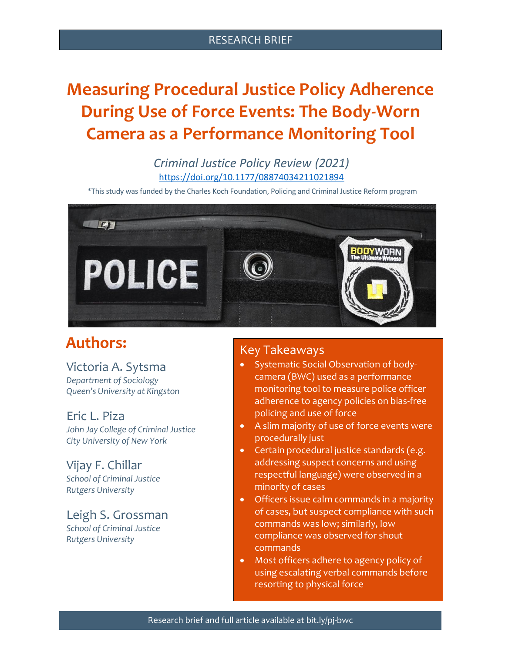#### RESEARCH BRIEF

# **Measuring Procedural Justice Policy Adherence During Use of Force Events: The Body-Worn Camera as a Performance Monitoring Tool**

### *Criminal Justice Policy Review (2021)* [https://doi.org/10.1177/08874034211021894](https://doi.org/10.1177%2F08874034211021894)

\*This study was funded by the Charles Koch Foundation, Policing and Criminal Justice Reform program



# **Authors:**

# Victoria A. Sytsma

*Department of Sociology Queen's University at Kingston*

### Eric L. Piza

*John Jay College of Criminal Justice City University of New York*

#### Vijay F. Chillar *School of Criminal Justice Rutgers University*

#### Leigh S. Grossman *School of Criminal Justice Rutgers University*

### Key Takeaways

- Systematic Social Observation of bodycamera (BWC) used as a performance monitoring tool to measure police officer adherence to agency policies on bias-free policing and use of force
- A slim majority of use of force events were procedurally just
- Certain procedural justice standards (e.g. addressing suspect concerns and using respectful language) were observed in a minority of cases
- Officers issue calm commands in a majority of cases, but suspect compliance with such commands was low; similarly, low compliance was observed for shout commands
- Most officers adhere to agency policy of using escalating verbal commands before resorting to physical force